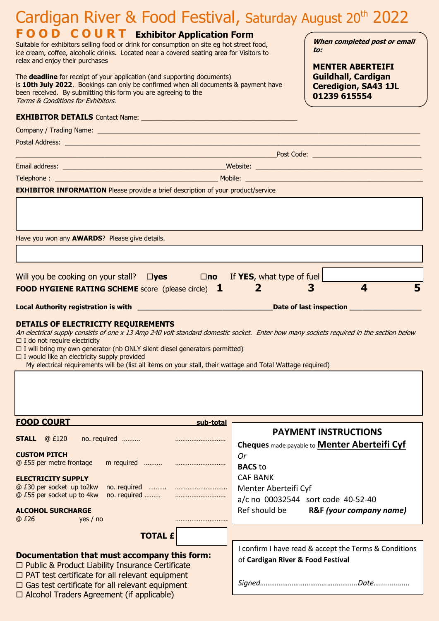| Cardigan River & Food Festival, Saturday August 20 <sup>th</sup> 2022                                                                                                                                                                                                                                                                                                                                                                                                         |                                                                                                      |
|-------------------------------------------------------------------------------------------------------------------------------------------------------------------------------------------------------------------------------------------------------------------------------------------------------------------------------------------------------------------------------------------------------------------------------------------------------------------------------|------------------------------------------------------------------------------------------------------|
| <b>FOOD COURT Exhibitor Application Form</b><br>Suitable for exhibitors selling food or drink for consumption on site eg hot street food,<br>ice cream, coffee, alcoholic drinks. Located near a covered seating area for Visitors to<br>relax and enjoy their purchases                                                                                                                                                                                                      | When completed post or email<br>to:                                                                  |
| The <b>deadline</b> for receipt of your application (and supporting documents)<br>is 10th July 2022. Bookings can only be confirmed when all documents & payment have<br>been received. By submitting this form you are agreeing to the<br>Terms & Conditions for Exhibitors.                                                                                                                                                                                                 | <b>MENTER ABERTEIFI</b><br><b>Guildhall, Cardigan</b><br><b>Ceredigion, SA43 1JL</b><br>01239 615554 |
|                                                                                                                                                                                                                                                                                                                                                                                                                                                                               |                                                                                                      |
|                                                                                                                                                                                                                                                                                                                                                                                                                                                                               |                                                                                                      |
|                                                                                                                                                                                                                                                                                                                                                                                                                                                                               |                                                                                                      |
|                                                                                                                                                                                                                                                                                                                                                                                                                                                                               |                                                                                                      |
|                                                                                                                                                                                                                                                                                                                                                                                                                                                                               |                                                                                                      |
| <b>EXHIBITOR INFORMATION</b> Please provide a brief description of your product/service                                                                                                                                                                                                                                                                                                                                                                                       |                                                                                                      |
|                                                                                                                                                                                                                                                                                                                                                                                                                                                                               |                                                                                                      |
| Have you won any <b>AWARDS</b> ? Please give details.                                                                                                                                                                                                                                                                                                                                                                                                                         |                                                                                                      |
|                                                                                                                                                                                                                                                                                                                                                                                                                                                                               |                                                                                                      |
| Will you be cooking on your stall? $\Box$ yes                                                                                                                                                                                                                                                                                                                                                                                                                                 | $\square$ no If YES, what type of fuel                                                               |
| 5<br>$\overline{\mathbf{A}}$<br>3<br>$\mathbf{2}$<br><b>FOOD HYGIENE RATING SCHEME</b> score (please circle) <b>1</b>                                                                                                                                                                                                                                                                                                                                                         |                                                                                                      |
|                                                                                                                                                                                                                                                                                                                                                                                                                                                                               |                                                                                                      |
| DETAILS OF ELECTRICITY REQUIREMENTS<br>An electrical supply consists of one x 13 Amp 240 volt standard domestic socket. Enter how many sockets required in the section below<br>$\Box$ I do not require electricity<br>$\Box$ I will bring my own generator (nb ONLY silent diesel generators permitted)<br>$\Box$ I would like an electricity supply provided<br>My electrical requirements will be (list all items on your stall, their wattage and Total Wattage required) |                                                                                                      |
|                                                                                                                                                                                                                                                                                                                                                                                                                                                                               |                                                                                                      |
| <b>FOOD COURT</b><br>sub-total                                                                                                                                                                                                                                                                                                                                                                                                                                                | <b>PAYMENT INSTRUCTIONS</b>                                                                          |
| <b>STALL</b><br>@ £120<br>no. required                                                                                                                                                                                                                                                                                                                                                                                                                                        | Cheques made payable to <b>Menter Aberteifi Cyf</b>                                                  |
| <b>CUSTOM PITCH</b>                                                                                                                                                                                                                                                                                                                                                                                                                                                           | <b>Or</b>                                                                                            |
| @ £55 per metre frontage                                                                                                                                                                                                                                                                                                                                                                                                                                                      | <b>BACS</b> to                                                                                       |
| <b>ELECTRICITY SUPPLY</b><br>@ £30 per socket up to2kw                                                                                                                                                                                                                                                                                                                                                                                                                        | <b>CAF BANK</b><br>Menter Aberteifi Cyf                                                              |
| @ £55 per socket up to 4kw                                                                                                                                                                                                                                                                                                                                                                                                                                                    |                                                                                                      |
| <b>ALCOHOL SURCHARGE</b><br>@ £26<br>yes $/$ no                                                                                                                                                                                                                                                                                                                                                                                                                               | a/c no 00032544 sort code 40-52-40                                                                   |
| <b>TOTAL £</b>                                                                                                                                                                                                                                                                                                                                                                                                                                                                | Ref should be<br>R&F (your company name)                                                             |
|                                                                                                                                                                                                                                                                                                                                                                                                                                                                               |                                                                                                      |
|                                                                                                                                                                                                                                                                                                                                                                                                                                                                               | I confirm I have read & accept the Terms & Conditions                                                |
| Documentation that must accompany this form:<br>$\Box$ Public & Product Liability Insurance Certificate<br>$\Box$ PAT test certificate for all relevant equipment                                                                                                                                                                                                                                                                                                             | of Cardigan River & Food Festival                                                                    |